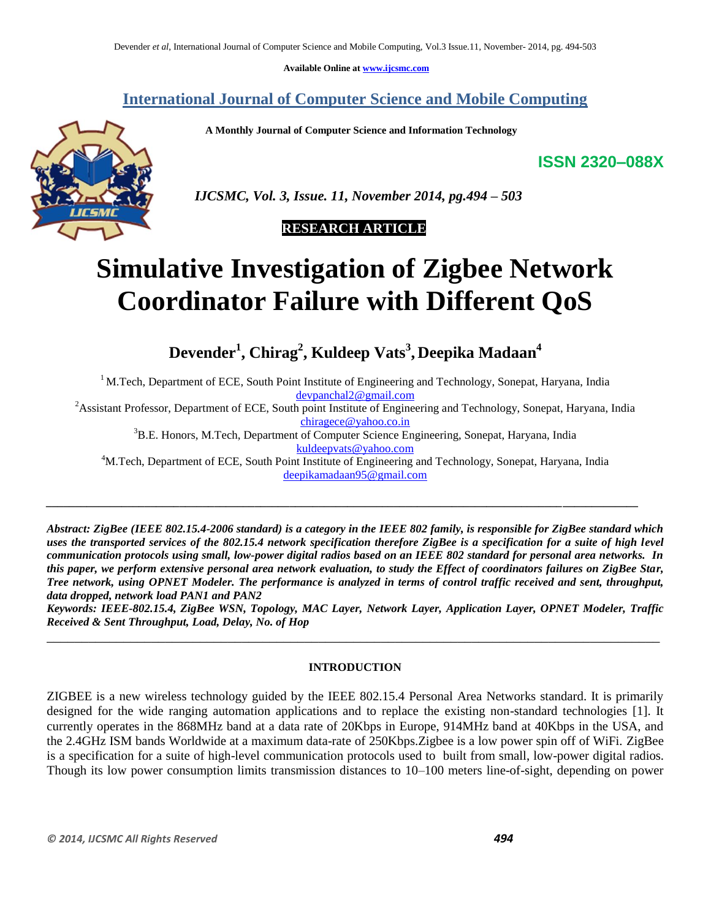**Available Online at www.ijcsmc.com**

# **International Journal of Computer Science and Mobile Computing**

 **A Monthly Journal of Computer Science and Information Technology**

**ISSN 2320–088X**



 *IJCSMC, Vol. 3, Issue. 11, November 2014, pg.494 – 503*

# **RESEARCH ARTICLE**

# **Simulative Investigation of Zigbee Network Coordinator Failure with Different QoS**

**Devender<sup>1</sup> , Chirag<sup>2</sup> , Kuldeep Vats<sup>3</sup> , Deepika Madaan<sup>4</sup>**

<sup>1</sup> M.Tech, Department of ECE, South Point Institute of Engineering and Technology, Sonepat, Haryana, India devpanchal2@gmail.com

<sup>2</sup>Assistant Professor, Department of ECE, South point Institute of Engineering and Technology, Sonepat, Haryana, India chiragece@yahoo.co.in

<sup>3</sup>B.E. Honors, M.Tech, Department of Computer Science Engineering, Sonepat, Haryana, India

kuldeepvats@yahoo.com

<sup>4</sup>M.Tech, Department of ECE, South Point Institute of Engineering and Technology, Sonepat, Haryana, India deepikamadaan95@gmail.com

*\_\_\_\_\_\_\_\_\_\_\_\_\_\_\_\_\_\_\_\_\_\_\_\_\_\_\_\_\_\_\_\_\_\_\_\_\_\_\_\_\_\_\_\_\_\_\_\_\_\_\_\_\_\_\_\_\_\_\_\_\_\_\_\_\_\_\_\_\_\_\_\_\_\_\_\_\_\_\_\_\_\_\_\_\_\_\_\_\_\_\_\_\_\_\_\_\_\_\_\_\_\_*

*Abstract: ZigBee (IEEE 802.15.4-2006 standard) is a category in the IEEE 802 family, is responsible for ZigBee standard which uses the transported services of the 802.15.4 network specification therefore ZigBee is a specification for a suite of high level communication protocols using small, low-power digital radios based on an IEEE 802 standard for personal area networks. In this paper, we perform extensive personal area network evaluation, to study the Effect of coordinators failures on ZigBee Star, Tree network, using OPNET Modeler. The performance is analyzed in terms of control traffic received and sent, throughput, data dropped, network load PAN1 and PAN2*

*Keywords: IEEE-802.15.4, ZigBee WSN, Topology, MAC Layer, Network Layer, Application Layer, OPNET Modeler, Traffic Received & Sent Throughput, Load, Delay, No. of Hop* \_\_\_\_\_\_\_\_\_\_\_\_\_\_\_\_\_\_\_\_\_\_\_\_\_\_\_\_\_\_\_\_\_\_\_\_\_\_\_\_\_\_\_\_\_\_\_\_\_\_\_\_\_\_\_\_\_\_\_\_\_\_\_\_\_\_\_\_\_\_\_\_\_\_\_\_\_\_\_\_\_\_\_\_\_\_\_\_

# **INTRODUCTION**

ZIGBEE is a new wireless technology guided by the IEEE 802.15.4 Personal Area Networks standard. It is primarily designed for the wide ranging automation applications and to replace the existing non-standard technologies [1]. It currently operates in the 868MHz band at a data rate of 20Kbps in Europe, 914MHz band at 40Kbps in the USA, and the 2.4GHz ISM bands Worldwide at a maximum data-rate of 250Kbps.Zigbee is a low power spin off of WiFi. ZigBee is a specification for a suite of high-level communication protocols used to built from small, low-power digital radios. Though its low power consumption limits transmission distances to 10–100 meters line-of-sight, depending on power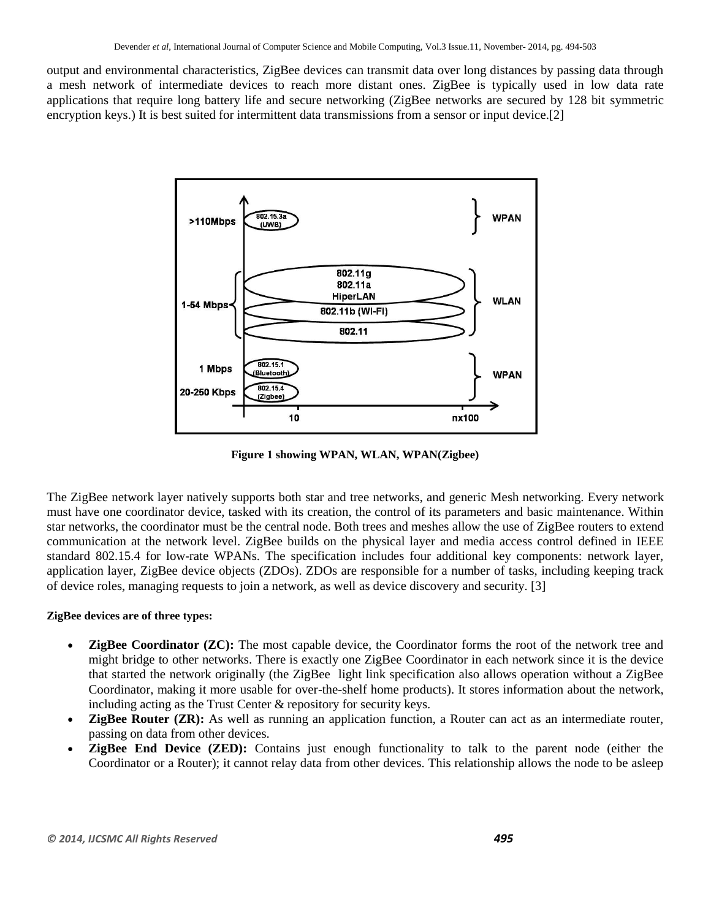output and environmental characteristics, ZigBee devices can transmit data over long distances by passing data through a [mesh network](http://en.wikipedia.org/wiki/Mesh_network) of intermediate devices to reach more distant ones. ZigBee is typically used in low data rate applications that require long battery life and secure networking (ZigBee networks are secured by 128 bit [symmetric](http://en.wikipedia.org/wiki/Symmetric_encryption)  [encryption](http://en.wikipedia.org/wiki/Symmetric_encryption) keys.) It is best suited for intermittent data transmissions from a sensor or input device.[2]



**Figure 1 showing WPAN, WLAN, WPAN(Zigbee)**

The ZigBee network layer natively supports both [star](http://en.wikipedia.org/wiki/Star_network) and [tree](http://en.wikipedia.org/wiki/Tree_network) networks, and generic [Mesh networking.](http://en.wikipedia.org/wiki/Mesh_networks) Every network must have one coordinator device, tasked with its creation, the control of its parameters and basic maintenance. Within star networks, the coordinator must be the central node. Both trees and meshes allow the use of ZigBee [routers](http://en.wikipedia.org/wiki/Routing) to extend communication at the network level. ZigBee builds on the [physical layer](http://en.wikipedia.org/wiki/Physical_layer) and [media access control](http://en.wikipedia.org/wiki/Media_access_control) defined in [IEEE](http://en.wikipedia.org/wiki/IEEE_802.15.4)  [standard 802.15.4](http://en.wikipedia.org/wiki/IEEE_802.15.4) for low-rate [WPANs.](http://en.wikipedia.org/wiki/Personal_area_network#Wireless) The specification includes four additional key components: network layer, application layer, ZigBee device objects (ZDOs). ZDOs are responsible for a number of tasks, including keeping track of device roles, managing requests to join a network, as well as device discovery and security. [3]

# **ZigBee devices are of three types:**

- **ZigBee Coordinator (ZC):** The most capable device, the Coordinator forms the root of the network tree and might bridge to other networks. There is exactly one ZigBee Coordinator in each network since it is the device that started the network originally (the ZigBee light link specification also allows operation without a ZigBee Coordinator, making it more usable for over-the-shelf home products). It stores information about the network, including acting as the Trust Center & repository for security keys.
- **ZigBee Router (ZR):** As well as running an application function, a Router can act as an intermediate router, passing on data from other devices.
- **ZigBee End Device (ZED):** Contains just enough functionality to talk to the parent node (either the Coordinator or a Router); it cannot relay data from other devices. This relationship allows the node to be asleep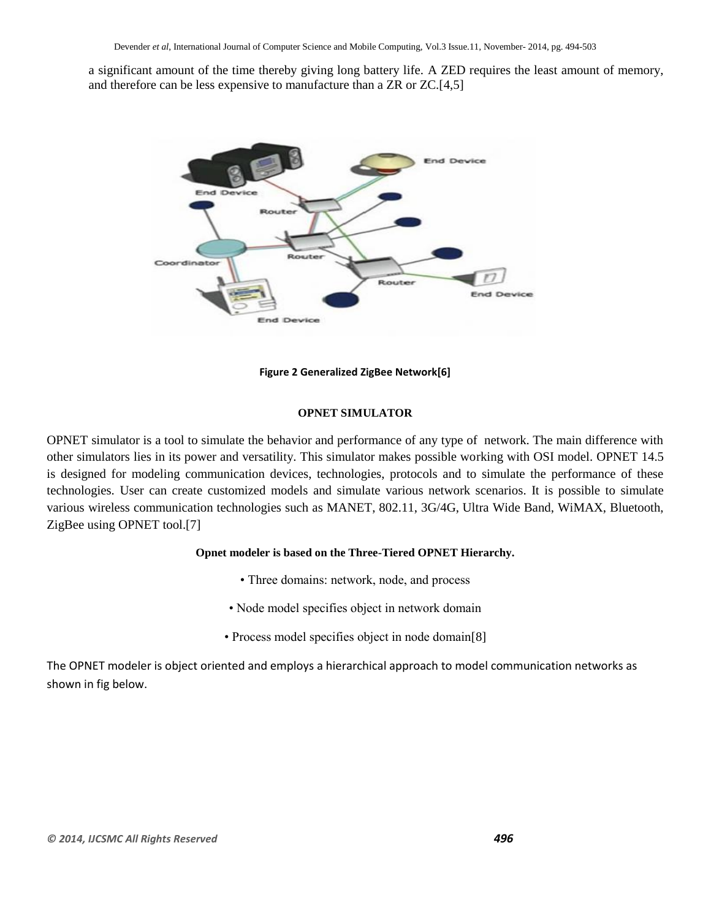a significant amount of the time thereby giving long battery life. A ZED requires the least amount of memory, and therefore can be less expensive to manufacture than a ZR or ZC.[4,5]



**Figure 2 Generalized ZigBee Network[6]**

#### **OPNET SIMULATOR**

OPNET simulator is a tool to simulate the behavior and performance of any type of network. The main difference with other simulators lies in its power and versatility. This simulator makes possible working with OSI model. OPNET 14.5 is designed for modeling communication devices, technologies, protocols and to simulate the performance of these technologies. User can create customized models and simulate various network scenarios. It is possible to simulate various wireless communication technologies such as MANET, 802.11, 3G/4G, Ultra Wide Band, WiMAX, Bluetooth, ZigBee using OPNET tool.[7]

#### **Opnet modeler is based on the Three-Tiered OPNET Hierarchy.**

- Three domains: network, node, and process
- Node model specifies object in network domain
- Process model specifies object in node domain[8]

The OPNET modeler is object oriented and employs a hierarchical approach to model communication networks as shown in fig below.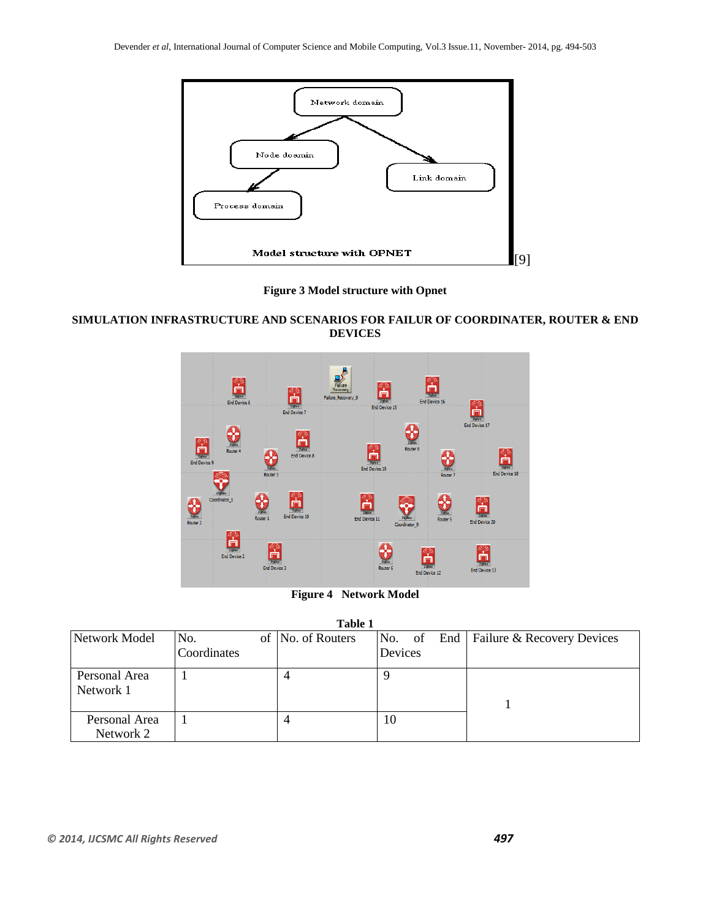

**Figure 3 Model structure with Opnet**

# **SIMULATION INFRASTRUCTURE AND SCENARIOS FOR FAILUR OF COORDINATER, ROUTER & END DEVICES**



**Figure 4 Network Model**

| Table 1                    |             |                   |         |                                         |  |  |  |  |  |
|----------------------------|-------------|-------------------|---------|-----------------------------------------|--|--|--|--|--|
| Network Model              | No.         | of No. of Routers |         | No. of End   Failure & Recovery Devices |  |  |  |  |  |
|                            | Coordinates |                   | Devices |                                         |  |  |  |  |  |
| Personal Area<br>Network 1 |             |                   |         |                                         |  |  |  |  |  |
| Personal Area              |             |                   | 10      |                                         |  |  |  |  |  |
| Network 2                  |             |                   |         |                                         |  |  |  |  |  |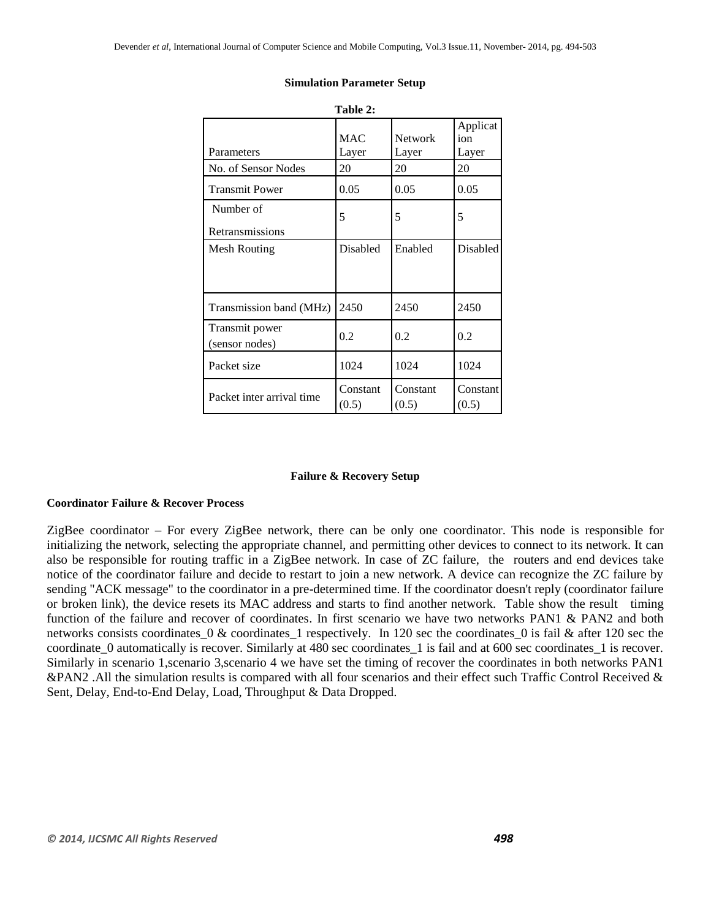| Table 2:                         |                     |                         |                          |  |  |  |  |
|----------------------------------|---------------------|-------------------------|--------------------------|--|--|--|--|
| Parameters                       | <b>MAC</b><br>Layer | <b>Network</b><br>Layer | Applicat<br>ion<br>Layer |  |  |  |  |
| No. of Sensor Nodes              | 20                  | 20                      | 20                       |  |  |  |  |
| <b>Transmit Power</b>            | 0.05                | 0.05                    | 0.05                     |  |  |  |  |
| Number of<br>Retransmissions     | 5                   | 5                       | 5                        |  |  |  |  |
| Mesh Routing                     | Disabled            | Enabled                 | Disabled                 |  |  |  |  |
| Transmission band (MHz)          | 2450                | 2450                    | 2450                     |  |  |  |  |
| Transmit power<br>(sensor nodes) | 0.2                 | 0.2                     | 0.2                      |  |  |  |  |
| Packet size                      | 1024                | 1024                    | 1024                     |  |  |  |  |
| Packet inter arrival time        | Constant<br>(0.5)   | Constant<br>(0.5)       | Constant<br>(0.5)        |  |  |  |  |

#### **Simulation Parameter Setup**

#### **Failure & Recovery Setup**

## **Coordinator Failure & Recover Process**

ZigBee coordinator – For every ZigBee network, there can be only one coordinator. This node is responsible for initializing the network, selecting the appropriate channel, and permitting other devices to connect to its network. It can also be responsible for routing traffic in a ZigBee network. In case of ZC failure, the routers and end devices take notice of the coordinator failure and decide to restart to join a new network. A device can recognize the ZC failure by sending "ACK message" to the coordinator in a pre-determined time. If the coordinator doesn't reply (coordinator failure or broken link), the device resets its MAC address and starts to find another network. Table show the result timing function of the failure and recover of coordinates. In first scenario we have two networks PAN1 & PAN2 and both networks consists coordinates  $0 \&$  coordinates 1 respectively. In 120 sec the coordinates 0 is fail  $\&$  after 120 sec the coordinate\_0 automatically is recover. Similarly at 480 sec coordinates\_1 is fail and at 600 sec coordinates\_1 is recover. Similarly in scenario 1,scenario 3,scenario 4 we have set the timing of recover the coordinates in both networks PAN1 &PAN2. All the simulation results is compared with all four scenarios and their effect such Traffic Control Received & Sent, Delay, End-to-End Delay, Load, Throughput & Data Dropped.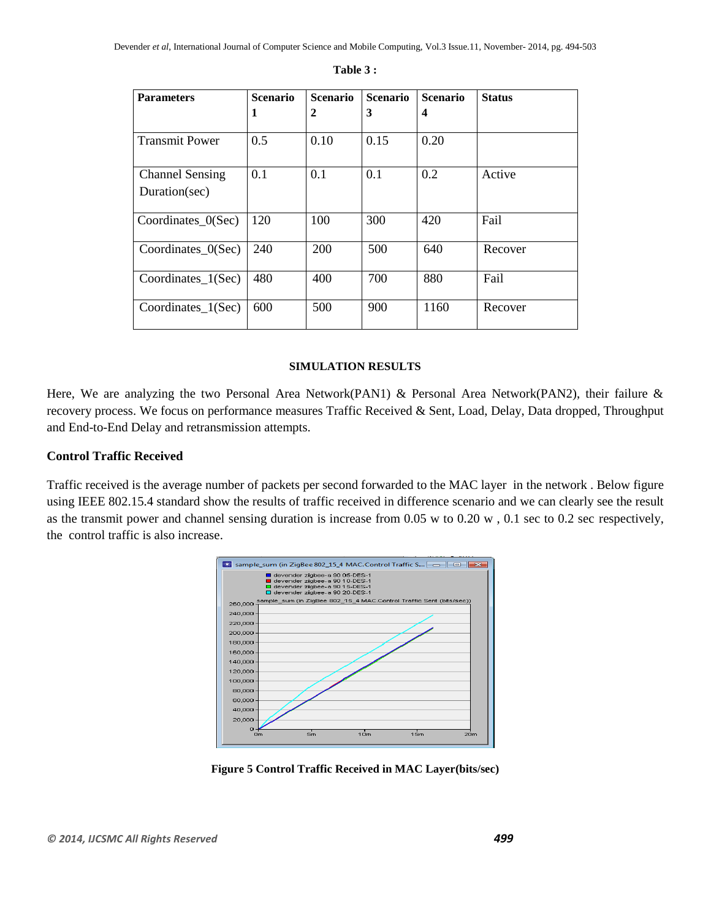| <b>Parameters</b>                       | <b>Scenario</b> | <b>Scenario</b> | <b>Scenario</b> | <b>Scenario</b> | <b>Status</b> |
|-----------------------------------------|-----------------|-----------------|-----------------|-----------------|---------------|
|                                         | 1               | $\overline{2}$  | 3               | 4               |               |
| <b>Transmit Power</b>                   | 0.5             | 0.10            | 0.15            | 0.20            |               |
| <b>Channel Sensing</b><br>Duration(sec) | 0.1             | 0.1             | 0.1             | 0.2             | Active        |
| Coordinates_ $0$ (Sec)                  | 120             | 100             | 300             | 420             | Fail          |
| Coordinates_ $0$ (Sec)                  | 240             | 200             | 500             | 640             | Recover       |
| Coordinates 1(Sec)                      | 480             | 400             | 700             | 880             | Fail          |
| Coordinates_1(Sec)                      | 600             | 500             | 900             | 1160            | Recover       |

#### **Table 3 :**

# **SIMULATION RESULTS**

Here, We are analyzing the two Personal Area Network(PAN1) & Personal Area Network(PAN2), their failure & recovery process. We focus on performance measures Traffic Received & Sent, Load, Delay, Data dropped, Throughput and End-to-End Delay and retransmission attempts.

# **Control Traffic Received**

Traffic received is the average number of packets per second forwarded to the MAC layer in the network . Below figure using IEEE 802.15.4 standard show the results of traffic received in difference scenario and we can clearly see the result as the transmit power and channel sensing duration is increase from 0.05 w to 0.20 w , 0.1 sec to 0.2 sec respectively, the control traffic is also increase.



**Figure 5 Control Traffic Received in MAC Layer(bits/sec)**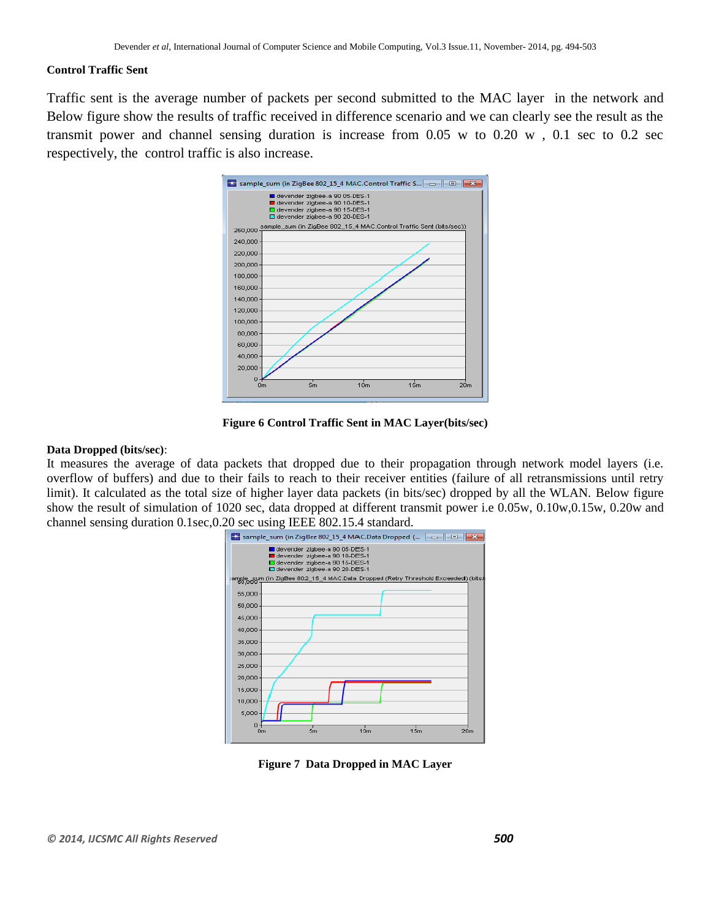### **Control Traffic Sent**

Traffic sent is the average number of packets per second submitted to the MAC layer in the network and Below figure show the results of traffic received in difference scenario and we can clearly see the result as the transmit power and channel sensing duration is increase from 0.05 w to 0.20 w , 0.1 sec to 0.2 sec respectively, the control traffic is also increase.



**Figure 6 Control Traffic Sent in MAC Layer(bits/sec)**

#### **Data Dropped (bits/sec)**:

It measures the average of data packets that dropped due to their propagation through network model layers (i.e. overflow of buffers) and due to their fails to reach to their receiver entities (failure of all retransmissions until retry limit). It calculated as the total size of higher layer data packets (in bits/sec) dropped by all the WLAN. Below figure show the result of simulation of 1020 sec, data dropped at different transmit power i.e 0.05w, 0.10w,0.15w, 0.20w and channel sensing duration 0.1sec,0.20 sec using IEEE 802.15.4 standard.



**Figure 7 Data Dropped in MAC Layer**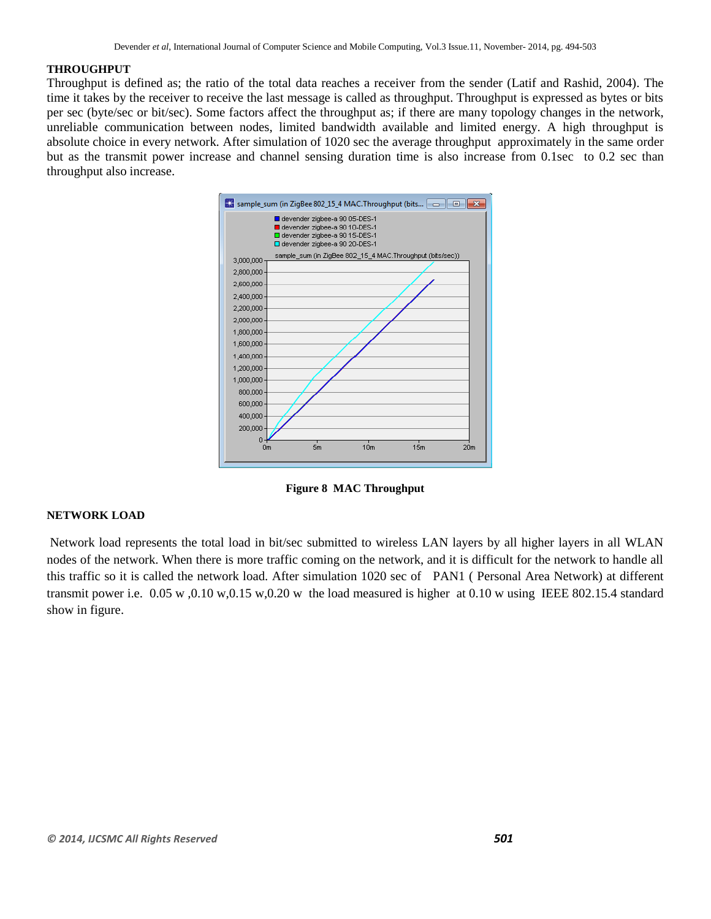#### **THROUGHPUT**

Throughput is defined as; the ratio of the total data reaches a receiver from the sender (Latif and Rashid, 2004). The time it takes by the receiver to receive the last message is called as throughput. Throughput is expressed as bytes or bits per sec (byte/sec or bit/sec). Some factors affect the throughput as; if there are many topology changes in the network, unreliable communication between nodes, limited bandwidth available and limited energy. A high throughput is absolute choice in every network. After simulation of 1020 sec the average throughput approximately in the same order but as the transmit power increase and channel sensing duration time is also increase from 0.1sec to 0.2 sec than throughput also increase.



**Figure 8 MAC Throughput**

## **NETWORK LOAD**

Network load represents the total load in bit/sec submitted to wireless LAN layers by all higher layers in all WLAN nodes of the network. When there is more traffic coming on the network, and it is difficult for the network to handle all this traffic so it is called the network load. After simulation 1020 sec of PAN1 ( Personal Area Network) at different transmit power i.e. 0.05 w ,0.10 w,0.15 w,0.20 w the load measured is higher at 0.10 w using IEEE 802.15.4 standard show in figure.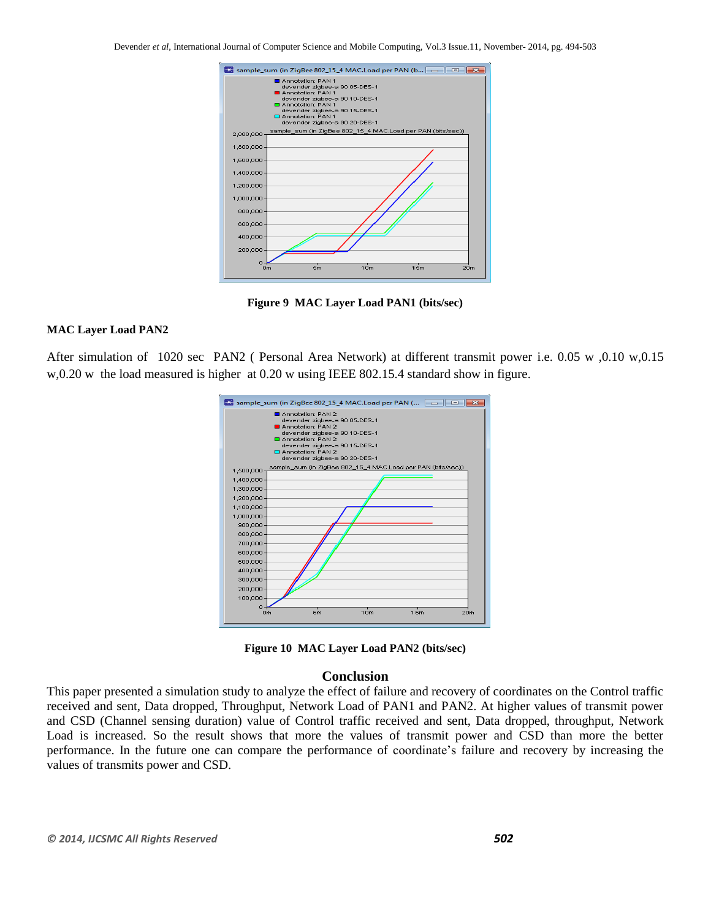Devender *et al*, International Journal of Computer Science and Mobile Computing, Vol.3 Issue.11, November- 2014, pg. 494-503



**Figure 9 MAC Layer Load PAN1 (bits/sec)**

#### **MAC Layer Load PAN2**

After simulation of 1020 sec PAN2 ( Personal Area Network) at different transmit power i.e. 0.05 w ,0.10 w,0.15 w,0.20 w the load measured is higher at 0.20 w using IEEE 802.15.4 standard show in figure.





# **Conclusion**

This paper presented a simulation study to analyze the effect of failure and recovery of coordinates on the Control traffic received and sent, Data dropped, Throughput, Network Load of PAN1 and PAN2. At higher values of transmit power and CSD (Channel sensing duration) value of Control traffic received and sent, Data dropped, throughput, Network Load is increased. So the result shows that more the values of transmit power and CSD than more the better performance. In the future one can compare the performance of coordinate's failure and recovery by increasing the values of transmits power and CSD.